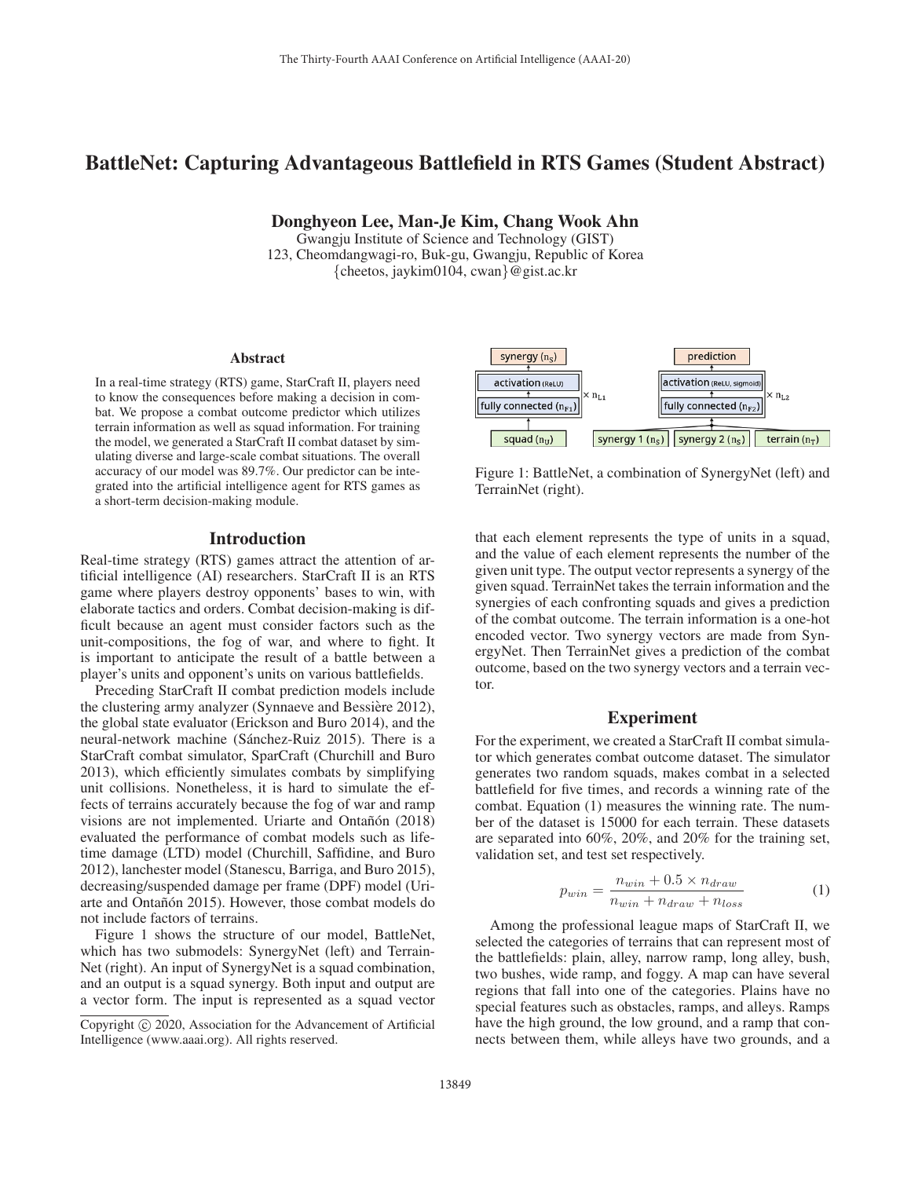# BattleNet: Capturing Advantageous Battlefield in RTS Games (Student Abstract)

Donghyeon Lee, Man-Je Kim, Chang Wook Ahn

Gwangju Institute of Science and Technology (GIST) 123, Cheomdangwagi-ro, Buk-gu, Gwangju, Republic of Korea {cheetos, jaykim0104, cwan}@gist.ac.kr

#### Abstract

In a real-time strategy (RTS) game, StarCraft II, players need to know the consequences before making a decision in combat. We propose a combat outcome predictor which utilizes terrain information as well as squad information. For training the model, we generated a StarCraft II combat dataset by simulating diverse and large-scale combat situations. The overall accuracy of our model was 89.7%. Our predictor can be integrated into the artificial intelligence agent for RTS games as a short-term decision-making module.

### Introduction

Real-time strategy (RTS) games attract the attention of artificial intelligence (AI) researchers. StarCraft II is an RTS game where players destroy opponents' bases to win, with elaborate tactics and orders. Combat decision-making is difficult because an agent must consider factors such as the unit-compositions, the fog of war, and where to fight. It is important to anticipate the result of a battle between a player's units and opponent's units on various battlefields.

Preceding StarCraft II combat prediction models include the clustering army analyzer (Synnaeve and Bessière 2012), the global state evaluator (Erickson and Buro 2014), and the neural-network machine (Sánchez-Ruiz 2015). There is a StarCraft combat simulator, SparCraft (Churchill and Buro 2013), which efficiently simulates combats by simplifying unit collisions. Nonetheless, it is hard to simulate the effects of terrains accurately because the fog of war and ramp visions are not implemented. Uriarte and Ontañón (2018) evaluated the performance of combat models such as lifetime damage (LTD) model (Churchill, Saffidine, and Buro 2012), lanchester model (Stanescu, Barriga, and Buro 2015), decreasing/suspended damage per frame (DPF) model (Uriarte and Ontañón 2015). However, those combat models do not include factors of terrains.

Figure 1 shows the structure of our model, BattleNet, which has two submodels: SynergyNet (left) and Terrain-Net (right). An input of SynergyNet is a squad combination, and an output is a squad synergy. Both input and output are a vector form. The input is represented as a squad vector



Figure 1: BattleNet, a combination of SynergyNet (left) and TerrainNet (right).

that each element represents the type of units in a squad, and the value of each element represents the number of the given unit type. The output vector represents a synergy of the given squad. TerrainNet takes the terrain information and the synergies of each confronting squads and gives a prediction of the combat outcome. The terrain information is a one-hot encoded vector. Two synergy vectors are made from SynergyNet. Then TerrainNet gives a prediction of the combat outcome, based on the two synergy vectors and a terrain vector.

# Experiment

For the experiment, we created a StarCraft II combat simulator which generates combat outcome dataset. The simulator generates two random squads, makes combat in a selected battlefield for five times, and records a winning rate of the combat. Equation (1) measures the winning rate. The number of the dataset is 15000 for each terrain. These datasets are separated into 60%, 20%, and 20% for the training set, validation set, and test set respectively.

$$
p_{win} = \frac{n_{win} + 0.5 \times n_{draw}}{n_{win} + n_{draw} + n_{loss}} \tag{1}
$$

Among the professional league maps of StarCraft II, we selected the categories of terrains that can represent most of the battlefields: plain, alley, narrow ramp, long alley, bush, two bushes, wide ramp, and foggy. A map can have several regions that fall into one of the categories. Plains have no special features such as obstacles, ramps, and alleys. Ramps have the high ground, the low ground, and a ramp that connects between them, while alleys have two grounds, and a

Copyright  $\odot$  2020, Association for the Advancement of Artificial Intelligence (www.aaai.org). All rights reserved.